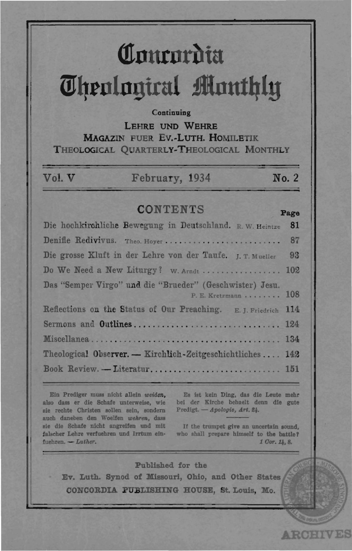# Contordia *<u>Ohenlanical Monthly</u>*

#### Continuing

LEHRE UND WEHRE **MAGAZIN FUER EV.-LUTH, HOMILETIK** THEOLOGICAL OUARTERLY-THEOLOGICAL MONTHLY

| Vol. V | February, 1934 | No. 2 |
|--------|----------------|-------|
|        |                |       |

# **CONTENTS**

#### Die hochkirchliche Bewegung in Deutschland. R. W. Heintze 81 Denifle Redivivus. Theo. Hover................. 87 . . . . . . . Die grosse Kluft in der Lehre von der Taufe. I. T. Mueller  $93$ Do We Need a New Liturgy? W. Arndt ................. 102 Das "Semper Virgo" und die "Brueder" (Geschwister) Jesu. P. E. Kretzmann . . . . . . . . 108 Reflections on the Status of Our Preaching. E. J. Friedrich 114 Sermons and Outlines................................. 124 134 Theological Observer. - Kirchlich-Zeitgeschichtliches.... 142 Book Review. - Literatur............................. 151

Ein Prediger muss nicht allein weiden, also dass er die Schafe unterweise, wie sie rechte Christen sollen sein, sondern auch daneben den Woelfen wehren, dass sie die Schafe nicht angreifen und mit falscher Lehre verfuehren und Irrtum einfuehren.  $-Luther.$ 

Es ist kein Ding, das die Leute mehr bei der Kirche behaelt denn die gute Predigt. - Apologie, Art. 24.

Page

**ARCHIVES** 

If the trumpet give an uncertain sound, who shall prepare himself to the battle? 1 Cor. 14, 8.

Published for the Ev. Luth. Synod of Missouri, Ohio, and Other States CONCORDIA PUBLISHING HOUSE, St. Louis, Mo.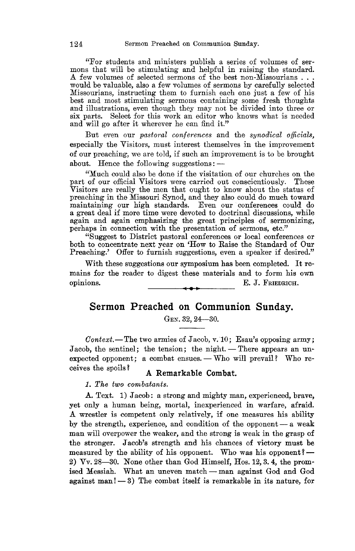"For students and ministers publish a series of volumes of ser-<br>mons that will be stimulating and helpful in raising the standard.<br>A few volumes of selected sermons of the best non-Missourians... would be valuable, also a few volumes of sermons by carefully selected Missourians, instructing them to furnish each one just a few of his best and most stimulating sermons containing some fresh thoughts and illustrations, even though they may not be divided into three or six parts. Select for this work an editor who knows what is needed and will go after it wherever he can find it."

But even our *pastoral conferences* and the *synodical officials,*  especially the Visitors, must interest themselves in the improvement of our preaching, we are told, if such an improvement is to be brought about. Hence the following suggestions: $-$ 

"Much could also be done if the visitation of our churches on the part of our official Visitors were carried out conscientiously. These Visitors are really the men that ought to know about the status of preaching in the Missouri Synod, and they also could do much toward a great deal if more time were devoted to doctrinal discussions, while again and again emphasizing the great principles of sermonizing, perhaps in connection with the presentation of sermons, etc."<br>"Suggest to District pastoral conferences or local conferences or

both to concentrate next year on 'How to Raise the Standard of Our Preaching.' Offer to furnish suggestions, even a speaker if desired."

With these suggestions our symposium has been completed. It remains for the reader to digest these materials and to form his own opinions. E. J. FRIEDRICH.

# Sermon Preached on Communion Sunday.

GEN. 32, 24-30.

*Context.*-The two armies of Jacob, v. 10; Esau's opposing army; Jacob, the sentinel; the tension; the night. - There appears an unexpected opponent; a combat ensues.  $-$  Who will prevail? Who receives the spoils? A Remarkable Combat.

1. *The two combatants.* 

A. Text. 1) Jacob: a strong and mighty man, experienced, brave, yet only a human being, mortal, inexperienced in warfare, afraid. A wrestler is competent only relatively, if one measures his ability by the strength, experience, and condition of the opponent  $-$  a weak man will overpower the weaker, and the strong is weak in the grasp of the stronger. Jacob's strength and his chances of victory must be measured by the ability of his opponent. Who was his opponent?-2)  $\nabla v$ , 28-30. None other than God Himself, Hos. 12, 3, 4, the promised Messiah. What an uneven match - man against God and God against man! $-3$ ) The combat itself is remarkable in its nature, for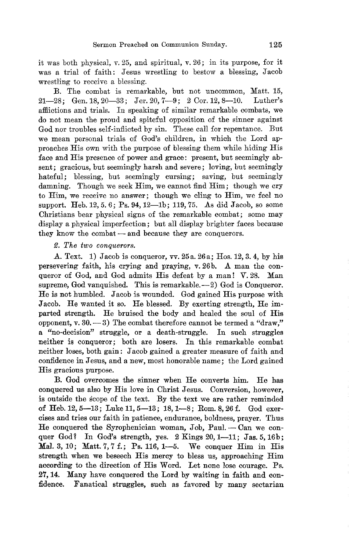it was both physical, v. 25, and spiritual, v. 26; in its purpose, for it was a trial of faith: Jesus wrestling to bestow a blessing, Jacob wrestling to receive a blessing.

B. The combat is remarkable, but not uncommon, Matt. 15, 21-28; Gen. 18, 20-33; Jer. 20,  $7-9$ ; 2 Cor. 12, 8-10. Luther's affiictions and trials. In speaking of similar remarkable combats, we do not mean the proud and spiteful opposition of the sinner against God nor troubles self-inflicted by sin. These call for repentance. But we mean personal trials of God's children, in which the Lord approaches His own with the purpose of blessing them while hiding His face and His presence of power and grace: present, but seemingly absent; gracious, but seemingly harsh and severe; loving, but seemingly hateful; blessing, but seemingly cursing; saving, but seemingly damning. Though we seek Him, we cannot find Him; though we cry to Him, we receive no answer; though we cling to Him, we feel no support. Heb. 12, 5.6; Ps. 94, 12-1b; 119, 75. As did Jacob, so some Christians bear physical signs of the remarkable combat; some may display a physical imperfection; but all display brighter faces because they know the combat - and because they are conquerors.

#### fJ. *The two conquerors.*

A. Text. 1) Jacob is conqueror, vv. 25a. 26a; Hos. 12, 3. 4, by his persevering faith, his crying and praying, v.26b. A man the conqueror of God, and God admits His defeat by a man! V. 28. Man supreme, God vanquished. This is remarkable. $-2$ ) God is Conqueror. He is not humbled. Jacob is wounded. God gained His purpose with Jacob. He wanted it so. He blessed. By exerting strength, He imparted strength. He bruised the body and healed the soul of His opponent,  $v. 30 - 3$ ) The combat therefore cannot be termed a "draw," a "no-decision" struggle, or a death-struggle. In such struggles neither is conqueror; both are losers. In this remarkable combat neither loses, both gain: Jacob gained a greater measure of faith and confidence in Jesus, and a new, most honorable name; the Lord gained His gracious purpose.

B. God overcomes the sinner when He converts him. He has conquered us also by His love in Christ Jesus. Conversion, however, is outside the scope of the text. By the text we are rather reminded of Heb. 12, 5-13; Luke 11, 5-13; 18, 1-8; Rom. 8, 26 f. God exercises and tries our faith in patience, endurance, boldness, prayer. Thus He conquered the Syrophenician woman, Job, Paul.  $-$  Can we conquer God? In God's strength, yes. 2 Kings 20, 1-11; Jas. 5, 16b; Mal. 3, 10; Matt. 7, 7 f.; Ps. 116, 1-5. We conquer Him in His strength when we beseech His mercy to bless us, approaching Him according to the direction of His Word. Let none lose courage. Ps. 2'7, 14. Many have conquered the Lord by waiting in faith and confidence. Fanatical struggles, such as favored by many sectarian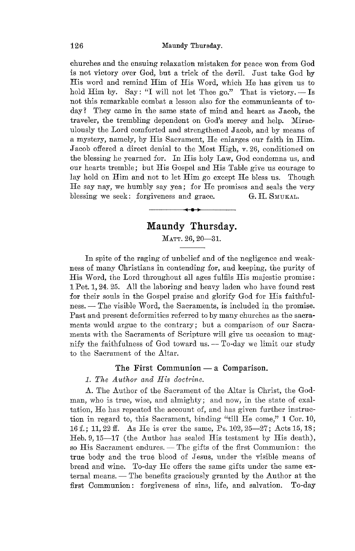churches and the ensuing relaxation mistaken for peace won from God is not victory over God, but a trick of the deviL Just take God by His word and remind Him of His Word, which He has given us to hold Him by. Say: "I will not let Thee go." That is victory.  $-$  Is not this remarkable combat a lesson also for the communicants of today? They came in the same state of mind and heart as Jacob, the traveler, the trembling dependent on God's mercy and help. Miraculously the Lord comforted and strengthened Jacob, and by means of a mystery, namely, by His Sacrament, He enlarges our faith in Him. Jacob offered a direct denial to the Most High, v. 26, conditioned on the blessing he yearned for. In His holy Law, God condemns us, and our hearts tremble; but His Gospel and His Table give us courage to lay hold on Him and not to let Him go except He bless us. Though He say nay, we humbly say yea; for He promises and seals the very blessing we seek: forgiveness and grace. G.H. SMUKAL.

# **Maundy Thursday.**

MATT. 26,20-31.

In spite of the raging of unbelief and of the negligence and weakness of many Ohristians in contending for, and keeping, the purity of His Word, the Lord throughout all ages fulfils His majestic promise: 1 Pet. 1,24. 25. All the laboring and heavy laden who have found rest for their souls in the Gospel praise and glorify God for His faithful $ness. - The visible Word, the Sacramento, is included in the promise.$ Past and present deformities referred to by many churches as the sacraments would argue to the contrary; but a comparison of our Sacraments with the Sacraments of Scripture will give us occasion to magnify the faithfulness of God toward us.  $-$  To-day we limit our study to the Sacrament of the Altar.

#### The First Communion  $-$  a Comparison.

*1. The Author and His doctrine.* 

A. The Author of the Sacrament of the Altar is Ohrist, the Godman, who is true, wise, and almighty; and now, in the state of exaltation, He has repeated the account of, and has given further instruction in regard to, this Sacrament, binding "till He come," 1 Cor. 10, 16 f.; 11,22 ff. As He is ever the same, Ps. 102,25-27; Acts 15, 18; Heb. 9, 15-17 (the Author has sealed His testament by His death), so His Sacrament endures. - The gifts of the first Communion: the true body and the true blood of Jesus, under the visible means of bread and wine. To-day He offers the same gifts under the same external means. — The benefits graciously granted by the Author at the first Oommunion: forgiveness of sins, life, and salvation. To-day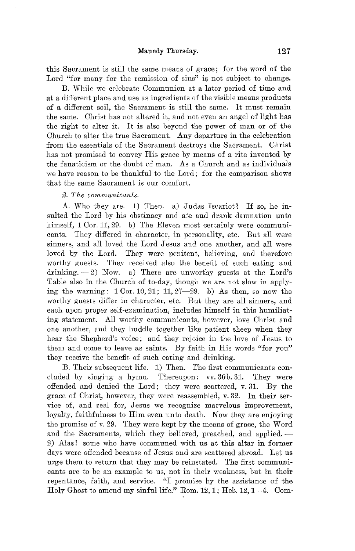#### **Maundy Thursday. 127**

this Sacrament is still the same means of grace; for the word of the Lord "for many for the remission of sins" is not subject to change.

B. While we celebrate Oommunion at a later period of time and at a different place and use as ingredients of the visible means products of a different soil, the Sacrament is still the same. It must remain the same. Ohrist has not altered it, and not even an angel of light has the right to alter it. It is also beyond the power of man or of the Ohurch to alter the true Sacrament. Any departure in the celebration from the essentials of the Sacrament destroys the Sacrament. Ohrist has not promised to convey His grace by means of a rite invented by the fanaticism or the doubt of man. As a Church and as individuals we have reason to be thankful to the Lord; for the comparison shows that the same Sacrament is our comfort.

#### *2. The communicants.*

A. Who they are. 1) Then. a) Judas Iscariot? If so, he insulted the Lord by his obstinacy and ate and drank damnation unto himself, 1 Cor. 11, 29. b) The Eleven most certainly were communicants. They differed in character, in personality, etc. But all were sinners, and all loved the Lord Jesus and one another, and all were loved by the Lord. They were penitent, believing, and therefore worthy guests. They received also the benefit of such eating and drinking.  $-2$ ) Now. a) There are unworthy guests at the Lord's Table also in the Ohurch of to-day, though we are not slow in applying the warning:  $1 \text{ Cor. } 10, 21$ ;  $11, 27-29$ . b) As then, so now the worthy guests differ in character, etc. But they are all sinners, and each upon proper self-examination, includes himself in this humiliating statement. All worthy communicants, however, love Christ and one another, and they huddle together like patient sheep when they hear the Shepherd's voice; and they rejoice in the love of Jesus to them and come to leave as saints. By faith in His words "for you" they receive the benefit of such eating and drinking.

B. Their subsequent life. 1) Then. The first communicants concluded by singing a hymn. Thereupon:  $\nabla \nabla \cdot$  30b. 31. They were offended and denied the Lord; they were scattered, v.31. By the grace of Ohrist, however, they were reassembled, v. 32. In their service of, and zeal for, Jesus we recognize marvelous improvement, loyalty, faithfulness to Him even unto death. Now they are enjoying the promise of *v.* 29. They were kept by the means of grace, the Word and the Sacraments, which they believed, preached, and applied.-2) Alas! some who have communed with us at this altar in former days were offended because of Jesus and are scattered abroad. Let us urge them to return that they may be reinstated. The first communicants are to be an example to us, not in their weakness, but in their repentance, faith, and service. "I promise by the assistance of the Holy Ghost to amend my sinful life." Rom.  $12, 1$ ; Heb.  $12, 1-4$ . Com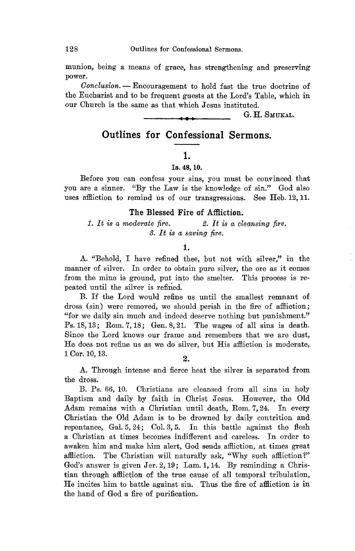munion, being a means of grace, has strengthening and preserving power.

*Oonclusion.* - Encouragement to hold fast the true doctrine of the Eucharist and to be frequent guests at the Lord's Table, which in our Ohurch is the same as that which Jesus instituted.

<sup>4</sup>**••** G. H. SMUKAL.

# **Outlines for Confessional Sermons.**

# 1.

#### Is. 48, 10.

Before you can confess your sins, you must be convinced that you are a sinner. "By the Law is the knowledge of sin." God also uses affliction to remind us of our transgressions. See Heb. 12, 11.

#### The Blessed Fire of Affliction.

# *1.* It *is a moderate fire.* 2. *It is a cleansing fire.*  3. *It is a saving fire.*

#### 1.

A. "Behold, I have refined thee, but not with silver," in the manner of silver. In order to obtain pure silver, the ore as it comes from the mine is ground, put into the smelter. This process is repeated until the silver is refined.

B. If the Lord would refine us until the smallest remnant of dross (sin) were removed, we should perish in the fire of affliction; "for we daily sin much and indeed deserve nothing but punishment." Ps. 18, 13; Rom. 7, 18; Gen. 8,21. The wages of all sins is death. Since the Lord knows our frame and remembers that we are dust, He does not refine us as we do silver, but His affliction is moderate, 1 Cor. 10, 13.  $\overline{2}$ .

A. Through intense and fierce heat the silver is separated from the dross.

B. Ps. 66, 10. Ohristians are cleansed from all sins in holy Baptism and daily by faith in Ohrist Jesus. However, the Old Adam remains with a Ohristian until death, Rom. 7,24. In every Ohristian the Old Adam is to be drowned by daily contrition and repentance, Gal.  $5, 24$ ; Col.  $3, 5$ . In this battle against the flesh a Ohristian at times becomes indifferent and careless. In order to awaken him and make him alert, God sends affliction, at times great affliction. The Christian will naturally ask, "Why such affliction?" God's answer is given Jer.  $2, 19$ ; Lam. 1, 14. By reminding a Christian through affliction of the true cause of all temporal tribulation, He incites him to battle against sin. Thus the fire of affliction is in the hand of God a fire of purification.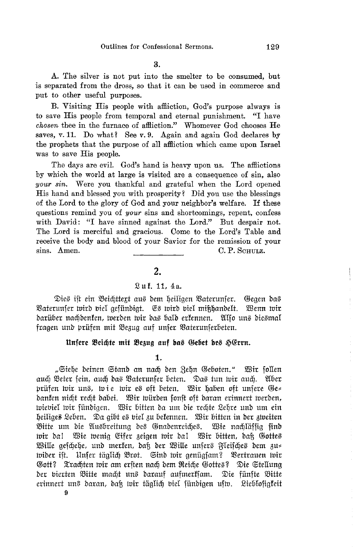3.

A. The silver is not put into the smelter to be consumed, but is separated from the dross, so that it can be used in commerce and put to other useful purposes.

B. Visiting His people with affliction, God's purpose always is to save His people from temporal and eternal punishment. "I have chosen thee in the furnace of affliction." Whomever God chooses He saves, v. 11. Do what? See v. 9. Again and again God declares by the prophets that the purpose of all affliction which came upon Israel was to save His people.

The days are evil. God's hand is heavy upon us. The afflictions by which the world at large is visited are a consequence of sin, also your sin. Were you thankful and grateful when the Lord opened His hand and blessed you with prosperity? Did you use the blessings of the Lord to the glory of God and your neighbor's welfare. If these questions remind you of your sins and shortcomings, repent, confess with David: "I have sinned against the Lord." But despair not. The Lord is merciful and gracious. Come to the Lord's Table and receive the body and blood of your Savior for the remission of your sins. Amen. C. P. SCHULZ.

# $2.$

# Luf. 11, 4a.

Dies ift ein Beichttext aus dem heiligen Baterunser. Geaen das Vaterunser wird viel gefündigt. Es wird viel mißhandelt. Wenn wir darüber nachdenken, werden wir das bald erkennen. Also uns diesmal fragen und prüfen mit Bezug auf unser Vaterunserbeten.

#### Unfere Beichte mit Bezug auf das Gebet des HErrn.

1.

"Siehe deinen Stand an nach den Zehn Geboten." Wir follen auch Beter fein, auch das Vaterunser beten. Das tun wir auch. Aber prüfen wir uns, wie wir es oft beten. Wir haben oft unsere Ge= danken nicht recht dabei. Wir würden sonst oft daran erinnert werden, wieviel wir fündigen. Wir bitten da um die rechte Lehre und um ein heiliges Leben. Da gibt es viel zu bekennen. Wir bitten in der zweiten Bitte um die Ausbreitung des Gnadenreiches. Wie nachläffig find wir da! Wie wenig Eifer zeigen wir da! Wir bitten, daß Gottes Wille geschehe, und merken, daß der Wille unsers Fleisches dem zu= wider ist. Unfer täglich Brot. Sind wir genügsam? Vertrauen wir Gott? Xrachten wir am erften nach dem Reiche Gottes? Die Stellung der vierten Bitte macht uns darauf aufmerksam. Die fünfte Bitte erinnert uns daran, daß wir täglich biel fündigen ufw. Lieblofigfeit 9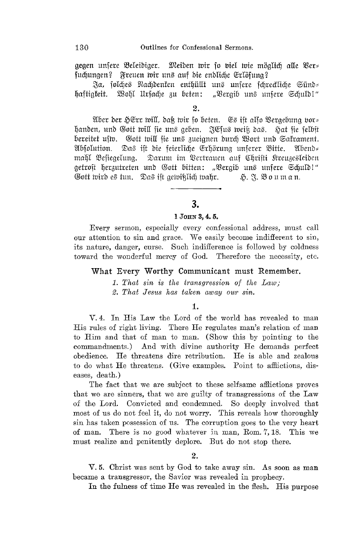gegen unfere Beleidiger. Meiden wir fo biel wie möglich alle Ver= suchungen? Freuen wir uns auf die endliche Erlösung?

Ja, solches Nachdenken enthüllt uns unsere schreckliche Sünds haftigkeit. Wohl Ursache zu beten: "Vergib uns unsere Schuld!"

#### $2.$

Aber der HErr will, daß wir so beten. Es ist also Vergebung vor= handen, und Gott will fie uns geben. JEfus weiß das. Hat fie felbît bereitet usm. Gott will sie uns zueignen durch Wort und Sakrament. Absolution. Das ift die feierliche Erhörung unferer Bitte. Abend= mahl Besiegelung. Darum im Vertrauen auf Chrifti Kreuzesleiden getroft herzutreten und Gott bitten: "Vergib uns unfere Schuld!" Gott wird es tun. Das ist gewißlich wahr. H. F. Bouman.

# 3.

#### 1 JOHN 3, 4, 5.

Every sermon, especially every confessional address, must call our attention to sin and grace. We easily become indifferent to sin, its nature, danger, curse. Such indifference is followed by coldness toward the wonderful mercy of God. Therefore the necessity, etc.

#### What Every Worthy Communicant must Remember.

1. That sin is the transgression of the  $Law$ ; 2. That Jesus has taken away our sin.

## $\mathbf{1}$

V.4. In His Law the Lord of the world has revealed to man His rules of right living. There He regulates man's relation of man to Him and that of man to man. (Show this by pointing to the commandments.) And with divine authority He demands perfect obedience. He threatens dire retribution. He is able and zealous to do what He threatens. (Give examples. Point to afflictions, diseases, death.)

The fact that we are subject to these selfsame afflictions proves that we are sinners, that we are guilty of transgressions of the Law of the Lord. Convicted and condemned. So deeply involved that most of us do not feel it, do not worry. This reveals how thoroughly sin has taken possession of us. The corruption goes to the very heart of man. There is no good whatever in man, Rom. 7, 18. This we must realize and penitently deplore. But do not stop there.

## $\overline{2}$ .

V.5. Christ was sent by God to take away sin. As soon as man became a transgressor, the Savior was revealed in prophecy.

In the fulness of time He was revealed in the flesh. His purpose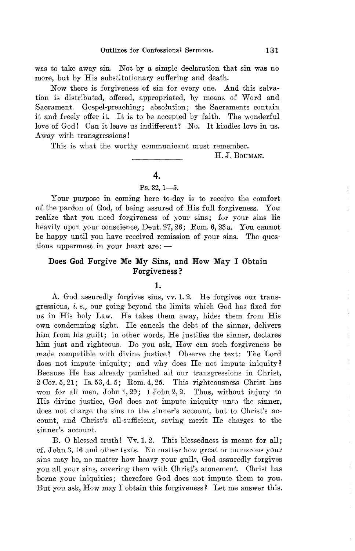was to take away sin. Not by a simple declaration that sin was no more, but by His substitutionary suffering and death.

Now there is forgiveness of sin for every one. And this salvation is distributed, offered, appropriated, by means of Word and Sacrament. Gospel-preaching; absolution; the Sacraments contain it and freely offer it. It is to be accepted by faith. The wonderful love of God! Oan it leave us indifferent? No. It kindles love in us. Away with transgressions!

This is what the worthy communicant must remember.

#### H. J. BOUMAN.

# 4.

# $Ps. 32, 1-5.$

Your purpose in coming here to-day is to receive the comfort of the pardon of God, of being assured of His full forgiveness. You realize that you need forgiveness of your sins; for your sins lie heavily upon your conscience, Deut. 27, 26; Rom. 6,23 a. You cannot be happy until you have received remission of your sins. The questions uppermost in your heart are: $-$ 

## Does God Forgive Me My Sins, and How May I Obtain Forgiveness?

#### 1.

A. God assuredly forgives sins, vv. 1. 2. He forgives our transgressions, i. *e.,* our going beyond the limits which God has fixed for us in His holy Law. He takes them away, hides them from His own condemning sight. He cancels the debt of the sinner, delivers him from his guilt; in other words, He justifies the sinner, declares him just and righteous. Do you ask, How can such forgiveness be made compatible with divine justice? Observe the text: The Lord does not impute iniquity; and why does He not impute iniquity? Because He has already punished all our transgressions in Christ,  $2\text{ Cor. }5,21$ ; Is. 53, 4.5; Rom. 4, 25. This righteousness Christ has won for all men, John 1, 29; 1 John 2, 2. Thus, without injury to His divine justice, God does not impute iniquity unto the sinner, does not charge the sins to the sinner's account, but to Ohrist's account, and Ohrist's all-sufficient, saving merit He charges to the sinner's account.

B. 0 blessed truth! *Vv.* 1.2. This blessedness is meant for all; d. John 3, 16 and other texts. No matter how great or numerous your sins may be, no matter how heavy your guilt, God assuredly forgives you all your sins, covering them with Ohrist's atonement. Ohrist has borne your iniquities; therefore God does not impute them to you. But you ask, How may I obtain this forgiveness? Let me answer this.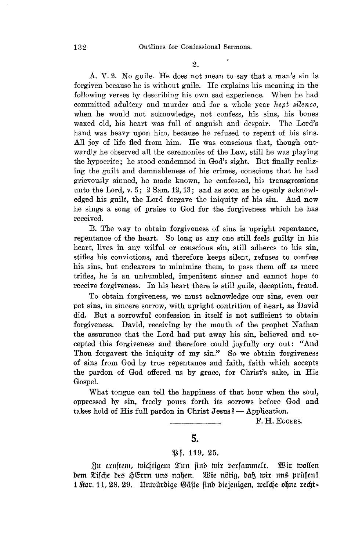A. V. 2. No guile. He does not mean to say that a man's sin is forgiven because he is without guile. He explains his meaning in the following verses by describing his own sad experience. When he had committed adultery and murder and for a whole year *kept silence,*  when he would not acknowledge, not confess, his sins, his bones waxed old, his heart was full of anguish and despair. The Lord's waxed old, his heart was full of anguish and despair. hand was heavy upon him, because he refused to repent of his sins. All joy of life fled from him. He was conscious that, though outwardly he observed all the ceremonies of the Law, still he was playing the hypocrite; he stood condemned in God's sight. But finally realizing the guilt and danmableness of his crimes, conscious that he had grievously sinned, he made known, he confessed, his transgressions unto the Lord, v. 5; 2 Sam. 12,13; and as soon as he openly acknowledged his guilt, the Lord forgave the iniquity of his sin. And now he sings a song of praise to God for the forgiveness which he has received.

B. The way to obtain forgiveness of sins is upright repentance, repentance of the heart. So long as anyone still feels guilty in his heart, lives in any wilful or conscious sin, still adheres to his sin, stifles his convictions, and therefore keeps silent, refuses to confess his sins, but endeavors to minimize them, to pass them off as mere trifles, he is an unhumbled, impenitent sinner and cannot hope to receive forgiveness. In his heart there is still guile, deception, fraud.

To obtain forgiveness, we must acknowledge our sins, even our pet sins, in sincere sorrow, with upright contrition of heart, as David did. But a sorrowful confession in itself is not sufficient to obtain forgiveness. David, receiving by the mouth of the prophet Nathan the assurance that the Lord had put away his sin, believed and accepted this forgiveness and therefore could joyfully cry out: "And Thou forgavest the iniquity of my sin." So we obtain forgiveness of sins from God by true repentance and faith, faith which accepts the pardon of God offered us by grace, for Christ's sake, in His Gospel.

What tongue can tell the happiness of that hour when the soul, oppressed by sin, freely pours forth its sorrows before God and takes hold of His full pardon in Christ Jesus?  $-$  Application.

F. H. EGGERS.

# **5.**

#### ~f. **119,** 25.

 $8u$  ernftem, wichtigem Tun find wir berfammelt. Wir wollen bem Tifche des HErrn uns nahen. Wie nötig, daß wir uns prüfen! 1  $%$ or. 11, 28. 29. Untvürdige Gäste find diejenigen, tvelche ohne recht=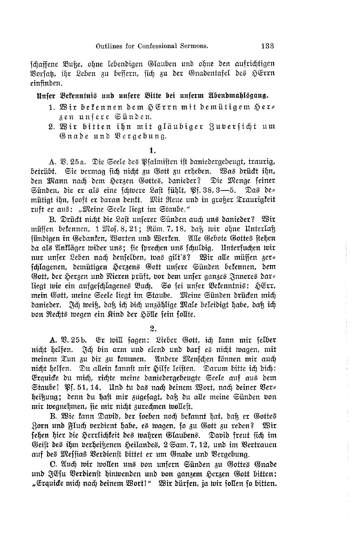schaffene Buke, ohne lebendigen Glauben und ohne den aufrichtigen Vorsat, ihr Leben zu bessern, sich zu der Gnadentafel des HErrn einfinden.

# Unfer Bekenntnis und unfere Bitte bei unferm Abendmahlsgang.

- 1. Wir bekennen dem HErrn mit demütigem Her= zen unfere Günden.
- 2. Wir bitten ihn mit aläubiger Rubersicht um Gnade und Vergebung.

A. V. 25a. Die Seele des Pfalmisten ist daniedergebeugt, traurig, betrübt. Sie vermag sich nicht zu Gott zu erheben. Was drückt ihn, den Mann nach dem Herzen Gottes, danieder? Die Menge seiner Sünden, die er als eine schwere Last fühlt, Pf. 38, 3-5. Das de= mütiat ihn, fooft er daran dentt. Mit Reue und in großer Traurigkeit ruft er aus: "Meine Seele liegt im Staube."

B. Drückt nicht die Last unserer Sünden auch uns danieder? Wir müssen bekennen, 1 Mos. 8, 21; Röm. 7, 18, daß wir ohne Unterlaß fündigen in Gedanken, Worten und Werken. Alle Gebote Gottes stehen da als Ankläger wider uns; sie sprechen uns schuldig. Untersuchen wir nur unser Leben nach denselben, was gilt's? Wir alle müssen zer= schlagenen, demütigen Herzens Gott unsere Sünden bekennen, dem Gott, der Herzen und Nieren prüft, bor dem unser ganzes Inneres dars liegt wie ein aufgeschlagenes Buch. So sei unser Bekenntnis: HErr, mein Gott, meine Seele liegt im Staube. Meine Sünden drücken mich danieder. Já weiß, daß ich dich unzählige Male beleidigt habe, daß ich bon Rechts wegen ein Kind der Hölle sein sollte.

2.

A. 23. 25b. Er will sagen: Lieber Gott, ich kann mir selber nicht helfen. Ich bin arm und elend und darf es nicht wagen, mit meinem Tun zu dir zu kommen. Andere Menschen können mir auch nicht helfen. Du allein kannst mir Hilfe leisten. Darum bitte ich dich: Erquice du mich, richte meine daniedergebeugte Seele auf aus dem Staube! Pf. 51, 14. Und tu das nach deinem Wort, nach deiner Vers heißung; denn du haft mir zugefagt, daß du alle meine Sünden von mir wegnehmen, fie mir nicht zurechnen wolleft.

B. Wie kann David, der soeben noch bekannt hat, daß er Gottes Zorn und Fluch berdient habe, es wagen, so zu Gott zu reden? Wir fehen hier die Herrlichkeit des wahren Glaubens. Dabid freut sich im Geist des ihm verheißenen Heilandes, 2 Sam. 7, 12, und im Vertrauen auf des Messias Verdienst bittet er um Gnade und Vergebung.

C. Auch wir wollen uns von unsern Sünden zu Gottes Gnade und JEsu Verdienst hinwenden und von ganzem Herzen Gott bitten: "Erquice mich nach deinem Wortl" Wir dürfen, ja wir follen fo bitten.

<sup>1.</sup>